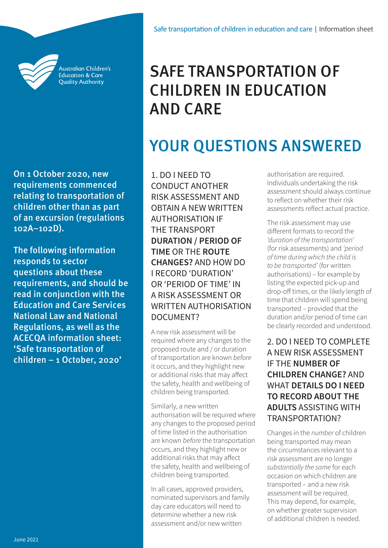

Australian Children's **Education & Care Quality Authority** 

On 1 October 2020, new requirements commenced relating to transportation of children other than as part of an excursion (regulations 102A–102D).

The following information responds to sector questions about these requirements, and should be read in conjunction with the Education and Care Services National Law and National Regulations, as well as the ACECQA information sheet: 'Safe transportation of [children – 1 October, 2020'](https://www.acecqa.gov.au/media/29846)

# SAFE TRANSPORTATION OF CHILDREN IN EDUCATION AND CARE

# YOUR QUESTIONS ANSWERED

1. DO I NEED TO CONDUCT ANOTHER RISK ASSESSMENT AND OBTAIN A NEW WRITTEN AUTHORISATION IF THE TRANSPORT **DURATION / PERIOD OF TIME** OR THE **ROUTE CHANGES?** AND HOW DO I RECORD 'DURATION' OR 'PERIOD OF TIME' IN A RISK ASSESSMENT OR WRITTEN AUTHORISATION DOCUMENT?

A new risk assessment will be required where any changes to the proposed route and / or duration of transportation are known *before* it occurs, and they highlight new or additional risks that may affect the safety, health and wellbeing of children being transported.

Similarly, a new written authorisation will be required where any changes to the proposed period of time listed in the authorisation are known *before* the transportation occurs, and they highlight new or additional risks that may affect the safety, health and wellbeing of children being transported.

In all cases, approved providers, nominated supervisors and family day care educators will need to determine whether a new risk assessment and/or new written

authorisation are required. Individuals undertaking the risk assessment should always continue to reflect on whether their risk assessments reflect actual practice.

The risk assessment may use different formats to record the *'duration of the transportation'*  (for risk assessments) and *'period of time during which the child is to be transported'* (for written authorisations) – for example by listing the expected pick-up and drop-off times, or the likely length of time that children will spend being transported – provided that the duration and/or period of time can be clearly recorded and understood.

2. DO I NEED TO COMPLETE A NEW RISK ASSESSMENT IF THE **NUMBER OF CHILDREN CHANGE?** AND WHAT **DETAILS DO I NEED TO RECORD ABOUT THE ADULTS** ASSISTING WITH TRANSPORTATION?

Changes in the *number* of children being transported may mean the circumstances relevant to a risk assessment are no longer *substantially the same* for each occasion on which children are transported – and a new risk assessment will be required. This may depend, for example, on whether greater supervision of additional children is needed.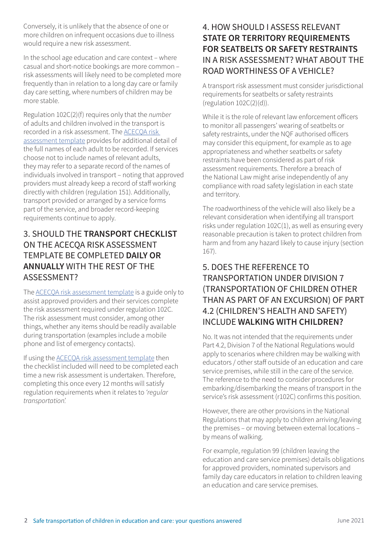Conversely, it is unlikely that the absence of one or more children on infrequent occasions due to illness would require a new risk assessment.

In the school age education and care context – where casual and short-notice bookings are more common – risk assessments will likely need to be completed more frequently than in relation to a long day care or family day care setting, where numbers of children may be more stable.

Regulation 102C(2)(f) requires only that the *number* of adults and children involved in the transport is recorded in a risk assessment. The ACECQA risk assessment template provides for additional detail of the full names of each adult to be recorded. If services choose not to include names of relevant adults, they may refer to a separate record of the names of individuals involved in transport – noting that approved providers must already keep a record of staff working directly with children (regulation 151). Additionally, transport provided or arranged by a service forms part of the service, and broader record-keeping requirements continue to apply.

#### 3. SHOULD THE **TRANSPORT CHECKLIST** ON THE ACECQA RISK ASSESSMENT TEMPLATE BE COMPLETED **DAILY OR ANNUALLY** WITH THE REST OF THE ASSESSMENT?

The ACECQA risk assessment template is a guide only to assist approved providers and their services complete the risk assessment required under regulation 102C. The risk assessment must consider, among other things, whether any items should be readily available during transportation (examples include a mobile phone and list of emergency contacts).

If using the ACECQA risk assessment template then the checklist included will need to be completed each time a new risk assessment is undertaken. Therefore, completing this once every 12 months will satisfy regulation requirements when it relates to *'regular transportation'.*

### 4. HOW SHOULD I ASSESS RELEVANT **STATE OR TERRITORY REQUIREMENTS FOR SEATBELTS OR SAFETY RESTRAINTS** IN A RISK ASSESSMENT? WHAT ABOUT THE ROAD WORTHINESS OF A VEHICLE?

A transport risk assessment must consider jurisdictional requirements for seatbelts or safety restraints (regulation 102C(2)(d)).

While it is the role of relevant law enforcement officers to monitor all passengers' wearing of seatbelts or safety restraints, under the NQF authorised officers may consider this equipment, for example as to age appropriateness and whether seatbelts or safety restraints have been considered as part of risk assessment requirements. Therefore a breach of the National Law might arise independently of any compliance with road safety legislation in each state and territory.

The roadworthiness of the vehicle will also likely be a relevant consideration when identifying all transport risks under regulation 102C(1), as well as ensuring every reasonable precaution is taken to protect children from harm and from any hazard likely to cause injury (section 167).

#### 5. DOES THE REFERENCE TO TRANSPORTATION UNDER DIVISION 7 (TRANSPORTATION OF CHILDREN OTHER THAN AS PART OF AN EXCURSION) OF PART 4.2 (CHILDREN'S HEALTH AND SAFETY) INCLUDE **WALKING WITH CHILDREN?**

No. It was not intended that the requirements under Part 4.2, Division 7 of the National Regulations would apply to scenarios where children may be walking with educators / other staff outside of an education and care service premises, while still in the care of the service. The reference to the need to consider procedures for embarking/disembarking the means of transport in the service's risk assessment (r102C) confirms this position.

However, there are other provisions in the National Regulations that may apply to children arriving/leaving the premises – or moving between external locations – by means of walking.

For example, regulation 99 (children leaving the education and care service premises) details obligations for approved providers, nominated supervisors and family day care educators in relation to children leaving an education and care service premises.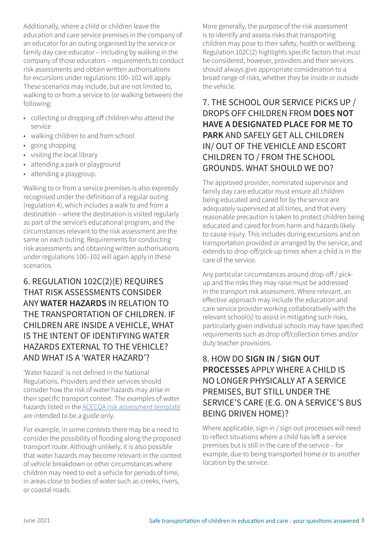Additionally, where a child or children leave the education and care service premises in the company of an educator for an outing organised by the service or family day care educator – including by walking in the company of those educators – requirements to conduct risk assessments and obtain written authorisations for excursions under regulations 100–102 will apply. These scenarios may include, but are not limited to, walking to or from a service to (or walking between) the following:

- collecting or dropping off children who attend the service
- walking children to and from school
- going shopping
- visiting the local library
- attending a park or playground
- attending a playgroup.

Walking to or from a service premises is also expressly recognised under the definition of a regular outing (regulation 4), which includes a walk to and from a destination – where the destination is visited regularly as part of the service's educational program, and the circumstances relevant to the risk assessment are the same on each outing. Requirements for conducting risk assessments and obtaining written authorisations under regulations 100–102 will again apply in these scenarios.

#### 6. REGULATION 102C(2)(E) REQUIRES THAT RISK ASSESSMENTS CONSIDER ANY **WATER HAZARDS** IN RELATION TO THE TRANSPORTATION OF CHILDREN. IF CHILDREN ARE INSIDE A VEHICLE, WHAT IS THE INTENT OF IDENTIFYING WATER HAZARDS EXTERNAL TO THE VEHICLE? AND WHAT IS A 'WATER HAZARD'?

'Water hazard' is not defined in the National Regulations. Providers and their services should consider how the risk of water hazards may arise in their specific transport context. The examples of water hazards listed in the ACECQA risk assessment template are intended to be a guide only.

For example, in some contexts there may be a need to consider the possibility of flooding along the proposed transport route. Although unlikely, it is also possible that water hazards may become relevant in the context of vehicle breakdown or other circumstances where children may need to exit a vehicle for periods of time, in areas close to bodies of water such as creeks, rivers, or coastal roads.

More generally, the purpose of the risk assessment is to identify and assess risks that transporting children may pose to their safety, health or wellbeing. Regulation 102C(2) highlights specific factors that *must*  be considered, however, providers and their services should always give appropriate consideration to a broad range of risks, whether they be inside or outside the vehicle.

### 7. THE SCHOOL OUR SERVICE PICKS UP / DROPS OFF CHILDREN FROM **DOES NOT HAVE A DESIGNATED PLACE FOR ME TO PARK** AND SAFELY GET ALL CHILDREN IN/ OUT OF THE VEHICLE AND ESCORT CHILDREN TO / FROM THE SCHOOL GROUNDS. WHAT SHOULD WE DO?

The approved provider, nominated supervisor and family day care educator must ensure all children being educated and cared for by the service are adequately supervised at all times, and that every reasonable precaution is taken to protect children being educated and cared for from harm and hazards likely to cause injury. This includes during excursions and on transportation provided or arranged by the service, and extends to drop-off/pick-up times when a child is in the care of the service.

Any particular circumstances around drop-off / pickup and the risks they may raise must be addressed in the transport risk assessment. Where relevant, an effective approach may include the education and care service provider working collaboratively with the relevant school(s) to assist in mitigating such risks, particularly given individual schools may have specified requirements such as drop off/collection times and/or duty teacher provisions.

### 8. HOW DO **SIGN IN / SIGN OUT PROCESSES** APPLY WHERE A CHILD IS NO LONGER PHYSICALLY AT A SERVICE PREMISES, BUT STILL UNDER THE SERVICE'S CARE (E.G. ON A SERVICE'S BUS BEING DRIVEN HOME)?

Where applicable, sign in / sign out processes will need to reflect situations where a child has left a service premises but is still in the care of the service – for example, due to being transported home or to another location by the service.